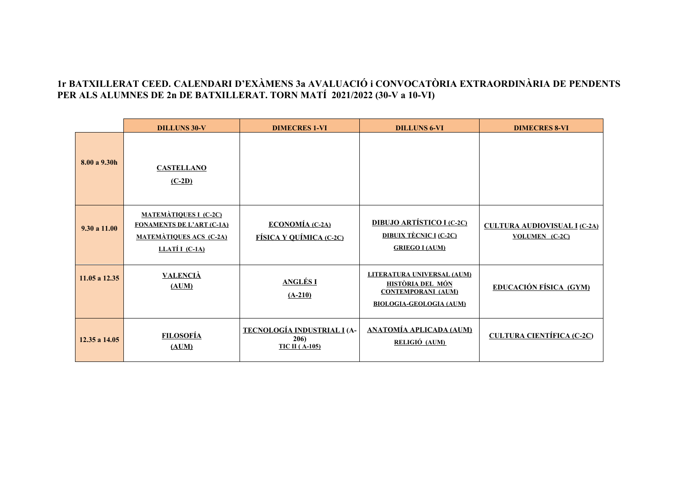## **1r BATXILLERAT CEED. CALENDARI D'EXÀMENS 3a AVALUACIÓ i CONVOCATÒRIA EXTRAORDINÀRIA DE PENDENTS PER ALS ALUMNES DE 2n DE BATXILLERAT. TORN MATÍ 2021/2022 (30-V a 10-VI)**

|               | <b>DILLUNS 30-V</b>                                                                                                    | <b>DIMECRES 1-VI</b>                                          | <b>DILLUNS 6-VI</b>                                                                                           | <b>DIMECRES 8-VI</b>                                         |
|---------------|------------------------------------------------------------------------------------------------------------------------|---------------------------------------------------------------|---------------------------------------------------------------------------------------------------------------|--------------------------------------------------------------|
| 8.00 a 9.30h  | <b>CASTELLANO</b><br>$(C-2D)$                                                                                          |                                                               |                                                                                                               |                                                              |
| 9.30 a 11.00  | <b>MATEMÀTIQUES I (C-2C)</b><br><b>FONAMENTS DE L'ART (C-1A)</b><br><b>MATEMÀTIQUES ACS (C-2A)</b><br>LLATÍ $I$ (C-1A) | <b>ECONOMÍA</b> (C-2A)<br>FÍSICA Y QUÍMICA (C-2C)             | <b>DIBUJO ARTÍSTICO I (C-2C)</b><br><b>DIBUIX TÈCNIC I (C-2C)</b><br><b>GRIEGO I (AUM)</b>                    | <b>CULTURA AUDIOVISUAL I (C-2A)</b><br><b>VOLUMEN</b> (C-2C) |
| 11.05 a 12.35 | <b>VALENCIA</b><br>(AUM)                                                                                               | <b>ANGLÉSI</b><br>$(A-210)$                                   | LITERATURA UNIVERSAL (AUM)<br>HISTÒRIA DEL MÓN<br><b>CONTEMPORANI (AUM)</b><br><b>BIOLOGIA-GEOLOGIA (AUM)</b> | <b>EDUCACIÓN FÍSICA (GYM)</b>                                |
| 12.35 a 14.05 | <b>FILOSOFÍA</b><br>(AUM)                                                                                              | <b>TECNOLOGÍA INDUSTRIAL I (A-</b><br>206)<br>$TIC II(A-105)$ | <b>ANATOMÍA APLICADA (AUM)</b><br>RELIGIÓ (AUM)                                                               | <b>CULTURA CIENTÍFICA (C-2C)</b>                             |